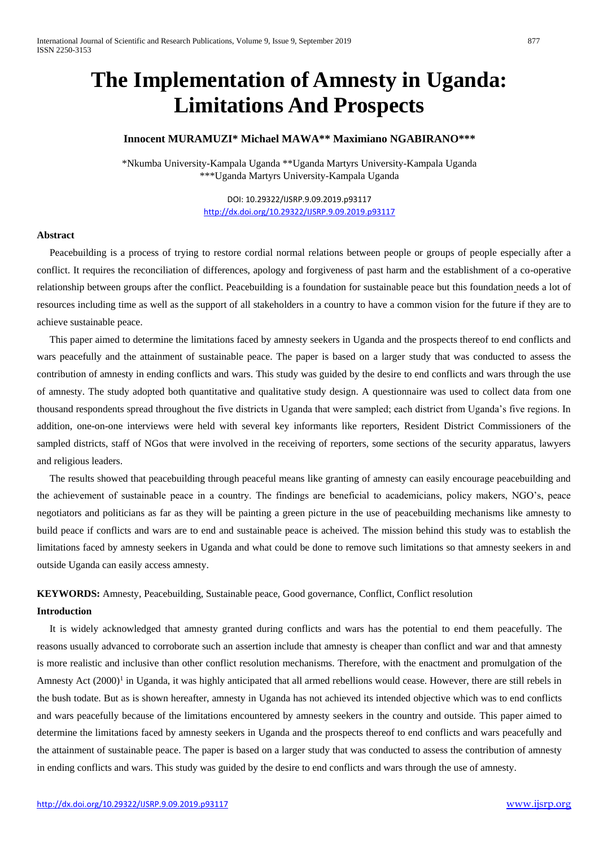# **The Implementation of Amnesty in Uganda: Limitations And Prospects**

# **Innocent MURAMUZI\* Michael MAWA\*\* Maximiano NGABIRANO\*\*\***

\*Nkumba University-Kampala Uganda \*\*Uganda Martyrs University-Kampala Uganda \*\*\*Uganda Martyrs University-Kampala Uganda

> DOI: 10.29322/IJSRP.9.09.2019.p93117 <http://dx.doi.org/10.29322/IJSRP.9.09.2019.p93117>

# **Abstract**

 Peacebuilding is a process of trying to restore cordial normal relations between people or groups of people especially after a conflict. It requires the reconciliation of differences, apology and forgiveness of past harm and the establishment of a co-operative relationship between groups after the conflict. Peacebuilding is a foundation for sustainable peace but this foundation needs a lot of resources including time as well as the support of all stakeholders in a country to have a common vision for the future if they are to achieve sustainable peace.

 This paper aimed to determine the limitations faced by amnesty seekers in Uganda and the prospects thereof to end conflicts and wars peacefully and the attainment of sustainable peace. The paper is based on a larger study that was conducted to assess the contribution of amnesty in ending conflicts and wars. This study was guided by the desire to end conflicts and wars through the use of amnesty. The study adopted both quantitative and qualitative study design. A questionnaire was used to collect data from one thousand respondents spread throughout the five districts in Uganda that were sampled; each district from Uganda's five regions. In addition, one-on-one interviews were held with several key informants like reporters, Resident District Commissioners of the sampled districts, staff of NGos that were involved in the receiving of reporters, some sections of the security apparatus, lawyers and religious leaders.

 The results showed that peacebuilding through peaceful means like granting of amnesty can easily encourage peacebuilding and the achievement of sustainable peace in a country. The findings are beneficial to academicians, policy makers, NGO's, peace negotiators and politicians as far as they will be painting a green picture in the use of peacebuilding mechanisms like amnesty to build peace if conflicts and wars are to end and sustainable peace is acheived. The mission behind this study was to establish the limitations faced by amnesty seekers in Uganda and what could be done to remove such limitations so that amnesty seekers in and outside Uganda can easily access amnesty.

# **KEYWORDS:** Amnesty, Peacebuilding, Sustainable peace, Good governance, Conflict, Conflict resolution

#### **Introduction**

 It is widely acknowledged that amnesty granted during conflicts and wars has the potential to end them peacefully. The reasons usually advanced to corroborate such an assertion include that amnesty is cheaper than conflict and war and that amnesty is more realistic and inclusive than other conflict resolution mechanisms. Therefore, with the enactment and promulgation of the Amnesty Act (2000)<sup>1</sup> in Uganda, it was highly anticipated that all armed rebellions would cease. However, there are still rebels in the bush todate. But as is shown hereafter, amnesty in Uganda has not achieved its intended objective which was to end conflicts and wars peacefully because of the limitations encountered by amnesty seekers in the country and outside. This paper aimed to determine the limitations faced by amnesty seekers in Uganda and the prospects thereof to end conflicts and wars peacefully and the attainment of sustainable peace. The paper is based on a larger study that was conducted to assess the contribution of amnesty in ending conflicts and wars. This study was guided by the desire to end conflicts and wars through the use of amnesty.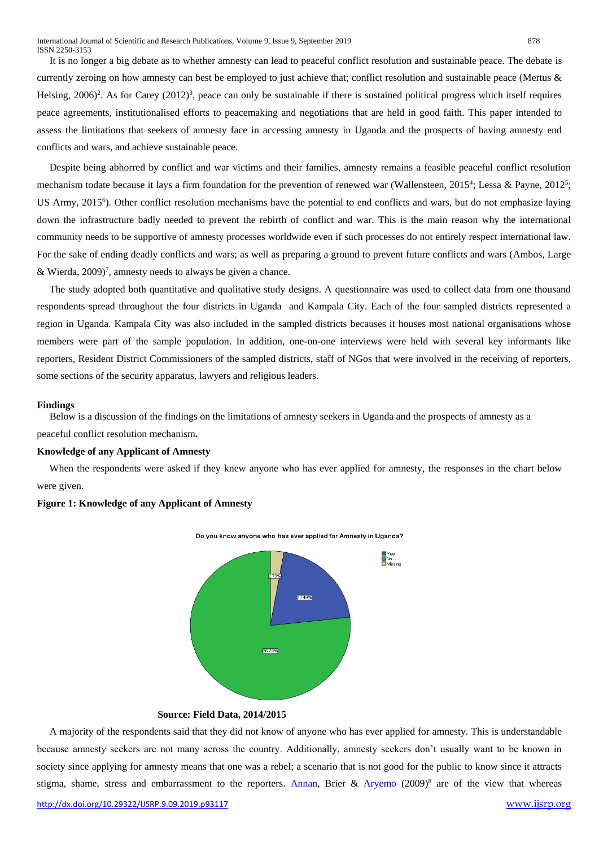It is no longer a big debate as to whether amnesty can lead to peaceful conflict resolution and sustainable peace. The debate is currently zeroing on how amnesty can best be employed to just achieve that; conflict resolution and sustainable peace (Mertus & Helsing, 2006)<sup>2</sup>. As for Carey (2012)<sup>3</sup>, peace can only be sustainable if there is sustained political progress which itself requires peace agreements, institutionalised efforts to peacemaking and negotiations that are held in good faith. This paper intended to assess the limitations that seekers of amnesty face in accessing amnesty in Uganda and the prospects of having amnesty end conflicts and wars, and achieve sustainable peace.

 Despite being abhorred by conflict and war victims and their families, amnesty remains a feasible peaceful conflict resolution mechanism todate because it lays a firm foundation for the prevention of renewed war (Wallensteen, 2015<sup>4</sup>; Lessa & Payne, 2012<sup>5</sup>; US Army, 2015<sup>6</sup>). Other conflict resolution mechanisms have the potential to end conflicts and wars, but do not emphasize laying down the infrastructure badly needed to prevent the rebirth of conflict and war. This is the main reason why the international community needs to be supportive of amnesty processes worldwide even if such processes do not entirely respect international law. For the sake of ending deadly conflicts and wars; as well as preparing a ground to prevent future conflicts and wars (Ambos, Large & Wierda,  $2009$ <sup>7</sup>, amnesty needs to always be given a chance.

The study adopted both quantitative and qualitative study designs. A questionnaire was used to collect data from one thousand respondents spread throughout the four districts in Uganda and Kampala City. Each of the four sampled districts represented a region in Uganda. Kampala City was also included in the sampled districts becauses it houses most national organisations whose members were part of the sample population. In addition, one-on-one interviews were held with several key informants like reporters, Resident District Commissioners of the sampled districts, staff of NGos that were involved in the receiving of reporters, some sections of the security apparatus, lawyers and religious leaders.

#### **Findings**

Below is a discussion of the findings on the limitations of amnesty seekers in Uganda and the prospects of amnesty as a peaceful conflict resolution mechanism**.** 

#### **Knowledge of any Applicant of Amnesty**

When the respondents were asked if they knew anyone who has ever applied for amnesty, the responses in the chart below were given.

#### **Figure 1: Knowledge of any Applicant of Amnesty**



# **Source: Field Data, 2014/2015**

 A majority of the respondents said that they did not know of anyone who has ever applied for amnesty. This is understandable because amnesty seekers are not many across the country. Additionally, amnesty seekers don't usually want to be known in society since applying for amnesty means that one was a rebel; a scenario that is not good for the public to know since it attracts stigma, shame, stress and embarrassment to the reporters. [Annan,](http://jar.sagepub.com/search?author1=Jeannie+Annan&sortspec=date&submit=Submit) Brier & [Aryemo](http://jar.sagepub.com/search?author1=Filder+Aryemo&sortspec=date&submit=Submit) (2009)<sup>8</sup> are of the view that whereas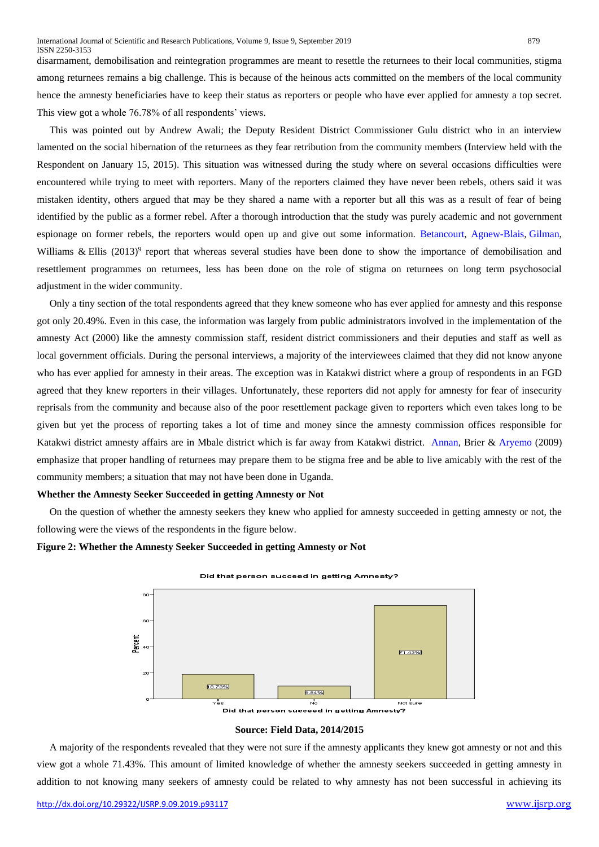disarmament, demobilisation and reintegration programmes are meant to resettle the returnees to their local communities, stigma among returnees remains a big challenge. This is because of the heinous acts committed on the members of the local community hence the amnesty beneficiaries have to keep their status as reporters or people who have ever applied for amnesty a top secret. This view got a whole 76.78% of all respondents' views.

 This was pointed out by Andrew Awali; the Deputy Resident District Commissioner Gulu district who in an interview lamented on the social hibernation of the returnees as they fear retribution from the community members (Interview held with the Respondent on January 15, 2015). This situation was witnessed during the study where on several occasions difficulties were encountered while trying to meet with reporters. Many of the reporters claimed they have never been rebels, others said it was mistaken identity, others argued that may be they shared a name with a reporter but all this was as a result of fear of being identified by the public as a former rebel. After a thorough introduction that the study was purely academic and not government espionage on former rebels, the reporters would open up and give out some information. [Betancourt, Agnew-Blais,](http://www.sciencedirect.com/science/article/pii/S0277953609006297) [Gilman,](http://www.sciencedirect.com/science/article/pii/S0277953609006297) Williams & Ellis (2013)<sup>9</sup> report that whereas several studies have been done to show the importance of demobilisation and resettlement programmes on returnees, less has been done on the role of stigma on returnees on long term psychosocial adjustment in the wider community.

 Only a tiny section of the total respondents agreed that they knew someone who has ever applied for amnesty and this response got only 20.49%. Even in this case, the information was largely from public administrators involved in the implementation of the amnesty Act (2000) like the amnesty commission staff, resident district commissioners and their deputies and staff as well as local government officials. During the personal interviews, a majority of the interviewees claimed that they did not know anyone who has ever applied for amnesty in their areas. The exception was in Katakwi district where a group of respondents in an FGD agreed that they knew reporters in their villages. Unfortunately, these reporters did not apply for amnesty for fear of insecurity reprisals from the community and because also of the poor resettlement package given to reporters which even takes long to be given but yet the process of reporting takes a lot of time and money since the amnesty commission offices responsible for Katakwi district amnesty affairs are in Mbale district which is far away from Katakwi district. [Annan,](http://jar.sagepub.com/search?author1=Jeannie+Annan&sortspec=date&submit=Submit) Brier & [Aryemo](http://jar.sagepub.com/search?author1=Filder+Aryemo&sortspec=date&submit=Submit) (2009) emphasize that proper handling of returnees may prepare them to be stigma free and be able to live amicably with the rest of the community members; a situation that may not have been done in Uganda.

#### **Whether the Amnesty Seeker Succeeded in getting Amnesty or Not**

 On the question of whether the amnesty seekers they knew who applied for amnesty succeeded in getting amnesty or not, the following were the views of the respondents in the figure below.

#### **Figure 2: Whether the Amnesty Seeker Succeeded in getting Amnesty or Not**





#### **Source: Field Data, 2014/2015**

 A majority of the respondents revealed that they were not sure if the amnesty applicants they knew got amnesty or not and this view got a whole 71.43%. This amount of limited knowledge of whether the amnesty seekers succeeded in getting amnesty in addition to not knowing many seekers of amnesty could be related to why amnesty has not been successful in achieving its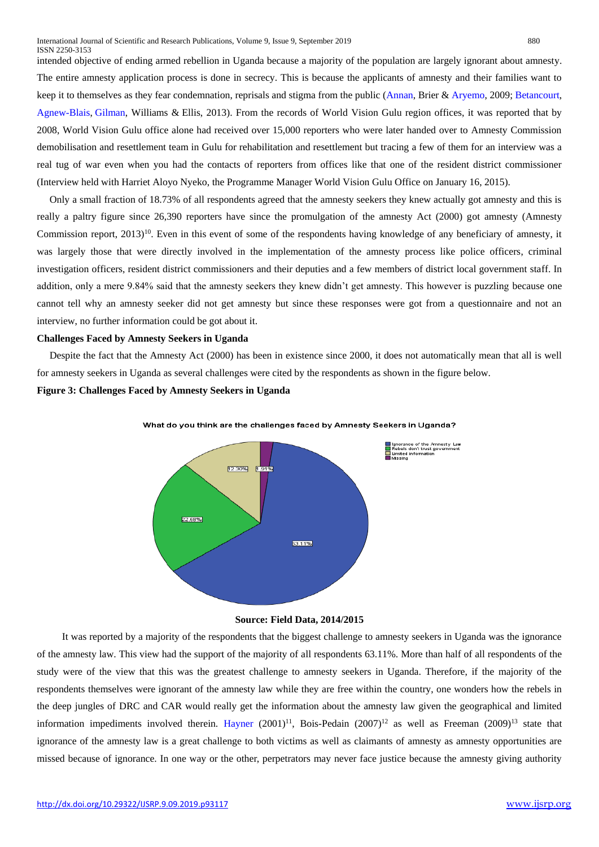intended objective of ending armed rebellion in Uganda because a majority of the population are largely ignorant about amnesty. The entire amnesty application process is done in secrecy. This is because the applicants of amnesty and their families want to keep it to themselves as they fear condemnation, reprisals and stigma from the public [\(Annan,](http://jar.sagepub.com/search?author1=Jeannie+Annan&sortspec=date&submit=Submit) Brier & [Aryemo,](http://jar.sagepub.com/search?author1=Filder+Aryemo&sortspec=date&submit=Submit) 2009; [Betancourt,](http://www.sciencedirect.com/science/article/pii/S0277953609006297) [Agnew-Blais,](http://www.sciencedirect.com/science/article/pii/S0277953609006297) [Gilman,](http://www.sciencedirect.com/science/article/pii/S0277953609006297) Williams & Ellis, 2013). From the records of World Vision Gulu region offices, it was reported that by 2008, World Vision Gulu office alone had received over 15,000 reporters who were later handed over to Amnesty Commission demobilisation and resettlement team in Gulu for rehabilitation and resettlement but tracing a few of them for an interview was a real tug of war even when you had the contacts of reporters from offices like that one of the resident district commissioner (Interview held with Harriet Aloyo Nyeko, the Programme Manager World Vision Gulu Office on January 16, 2015).

 Only a small fraction of 18.73% of all respondents agreed that the amnesty seekers they knew actually got amnesty and this is really a paltry figure since 26,390 reporters have since the promulgation of the amnesty Act (2000) got amnesty (Amnesty Commission report, 2013)<sup>10</sup>. Even in this event of some of the respondents having knowledge of any beneficiary of amnesty, it was largely those that were directly involved in the implementation of the amnesty process like police officers, criminal investigation officers, resident district commissioners and their deputies and a few members of district local government staff. In addition, only a mere 9.84% said that the amnesty seekers they knew didn't get amnesty. This however is puzzling because one cannot tell why an amnesty seeker did not get amnesty but since these responses were got from a questionnaire and not an interview, no further information could be got about it.

#### **Challenges Faced by Amnesty Seekers in Uganda**

 Despite the fact that the Amnesty Act (2000) has been in existence since 2000, it does not automatically mean that all is well for amnesty seekers in Uganda as several challenges were cited by the respondents as shown in the figure below.

**Figure 3: Challenges Faced by Amnesty Seekers in Uganda**



What do you think are the challenges faced by Amnesty Seekers in Uganda?

#### **Source: Field Data, 2014/2015**

 It was reported by a majority of the respondents that the biggest challenge to amnesty seekers in Uganda was the ignorance of the amnesty law. This view had the support of the majority of all respondents 63.11%. More than half of all respondents of the study were of the view that this was the greatest challenge to amnesty seekers in Uganda. Therefore, if the majority of the respondents themselves were ignorant of the amnesty law while they are free within the country, one wonders how the rebels in the deep jungles of DRC and CAR would really get the information about the amnesty law given the geographical and limited information impediments involved therein. [Hayner](https://www.google.rw/search?hl=en&biw=1357&bih=620&tbm=bks&tbm=bks&q=inauthor:%22Priscilla+B.+Hayner%22&sa=X&ved=0CCkQ9AgwAmoVChMIkv-IuNCgxwIVx24UCh23nAvg)  $(2001)^{11}$ , Bois-Pedain  $(2007)^{12}$  as well as Freeman  $(2009)^{13}$  state that ignorance of the amnesty law is a great challenge to both victims as well as claimants of amnesty as amnesty opportunities are missed because of ignorance. In one way or the other, perpetrators may never face justice because the amnesty giving authority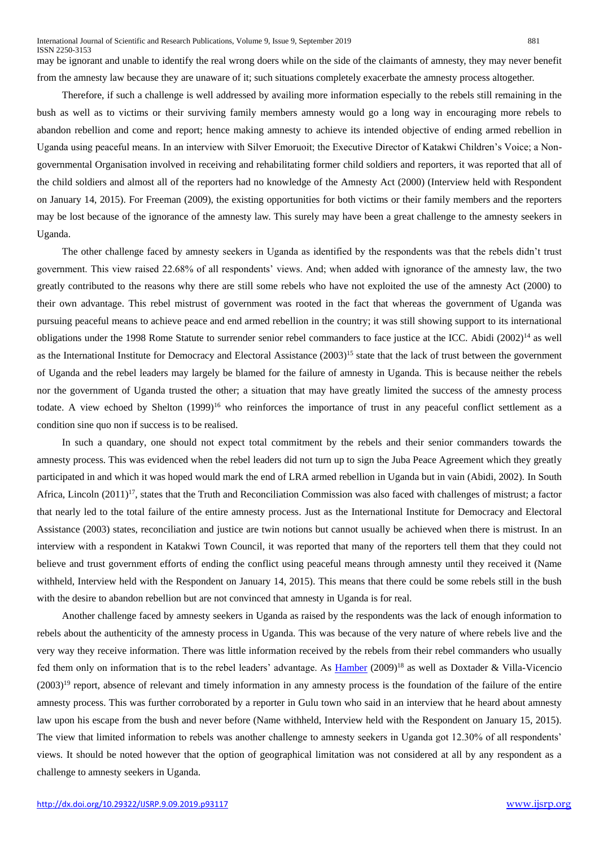may be ignorant and unable to identify the real wrong doers while on the side of the claimants of amnesty, they may never benefit from the amnesty law because they are unaware of it; such situations completely exacerbate the amnesty process altogether.

 Therefore, if such a challenge is well addressed by availing more information especially to the rebels still remaining in the bush as well as to victims or their surviving family members amnesty would go a long way in encouraging more rebels to abandon rebellion and come and report; hence making amnesty to achieve its intended objective of ending armed rebellion in Uganda using peaceful means. In an interview with Silver Emoruoit; the Executive Director of Katakwi Children's Voice; a Nongovernmental Organisation involved in receiving and rehabilitating former child soldiers and reporters, it was reported that all of the child soldiers and almost all of the reporters had no knowledge of the Amnesty Act (2000) (Interview held with Respondent on January 14, 2015). For Freeman (2009), the existing opportunities for both victims or their family members and the reporters may be lost because of the ignorance of the amnesty law. This surely may have been a great challenge to the amnesty seekers in Uganda.

 The other challenge faced by amnesty seekers in Uganda as identified by the respondents was that the rebels didn't trust government. This view raised 22.68% of all respondents' views. And; when added with ignorance of the amnesty law, the two greatly contributed to the reasons why there are still some rebels who have not exploited the use of the amnesty Act (2000) to their own advantage. This rebel mistrust of government was rooted in the fact that whereas the government of Uganda was pursuing peaceful means to achieve peace and end armed rebellion in the country; it was still showing support to its international obligations under the 1998 Rome Statute to surrender senior rebel commanders to face justice at the ICC. Abidi (2002)<sup>14</sup> as well as the International Institute for Democracy and Electoral Assistance (2003)<sup>15</sup> state that the lack of trust between the government of Uganda and the rebel leaders may largely be blamed for the failure of amnesty in Uganda. This is because neither the rebels nor the government of Uganda trusted the other; a situation that may have greatly limited the success of the amnesty process todate. A view echoed by Shelton (1999)<sup>16</sup> who reinforces the importance of trust in any peaceful conflict settlement as a condition sine quo non if success is to be realised.

 In such a quandary, one should not expect total commitment by the rebels and their senior commanders towards the amnesty process. This was evidenced when the rebel leaders did not turn up to sign the Juba Peace Agreement which they greatly participated in and which it was hoped would mark the end of LRA armed rebellion in Uganda but in vain (Abidi, 2002). In South Africa, Lincoln  $(2011)^{17}$ , states that the Truth and Reconciliation Commission was also faced with challenges of mistrust; a factor that nearly led to the total failure of the entire amnesty process. Just as the International Institute for Democracy and Electoral Assistance (2003) states, reconciliation and justice are twin notions but cannot usually be achieved when there is mistrust. In an interview with a respondent in Katakwi Town Council, it was reported that many of the reporters tell them that they could not believe and trust government efforts of ending the conflict using peaceful means through amnesty until they received it (Name withheld, Interview held with the Respondent on January 14, 2015). This means that there could be some rebels still in the bush with the desire to abandon rebellion but are not convinced that amnesty in Uganda is for real.

 Another challenge faced by amnesty seekers in Uganda as raised by the respondents was the lack of enough information to rebels about the authenticity of the amnesty process in Uganda. This was because of the very nature of where rebels live and the very way they receive information. There was little information received by the rebels from their rebel commanders who usually fed them only on information that is to the rebel leaders' advantage. As [Hamber](https://www.google.com/search?tbm=bks&tbm=bks&q=inauthor:%22Brandon+Hamber%22&sa=X&ved=0ahUKEwjGwOGW9LjKAhVIDCwKHTNaCeUQ9AgINjAE) (2009)<sup>18</sup> as well as Doxtader & Villa-Vicencio  $(2003)^{19}$  report, absence of relevant and timely information in any amnesty process is the foundation of the failure of the entire amnesty process. This was further corroborated by a reporter in Gulu town who said in an interview that he heard about amnesty law upon his escape from the bush and never before (Name withheld, Interview held with the Respondent on January 15, 2015). The view that limited information to rebels was another challenge to amnesty seekers in Uganda got 12.30% of all respondents' views. It should be noted however that the option of geographical limitation was not considered at all by any respondent as a challenge to amnesty seekers in Uganda.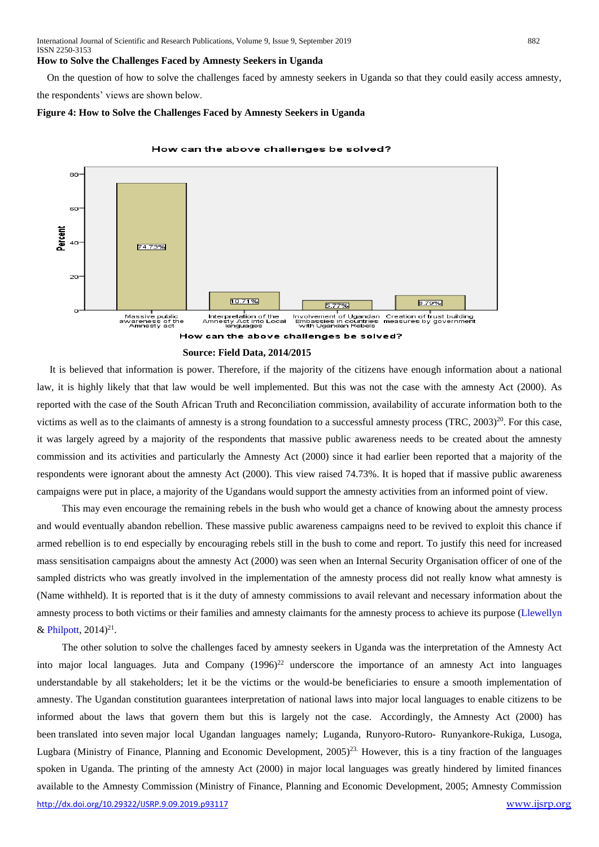#### **How to Solve the Challenges Faced by Amnesty Seekers in Uganda**

 On the question of how to solve the challenges faced by amnesty seekers in Uganda so that they could easily access amnesty, the respondents' views are shown below.

#### **Figure 4: How to Solve the Challenges Faced by Amnesty Seekers in Uganda**



#### How can the above challenges be solved?

 It is believed that information is power. Therefore, if the majority of the citizens have enough information about a national law, it is highly likely that that law would be well implemented. But this was not the case with the amnesty Act (2000). As reported with the case of the South African Truth and Reconciliation commission, availability of accurate information both to the victims as well as to the claimants of amnesty is a strong foundation to a successful amnesty process  $(TRC, 2003)^{20}$ . For this case, it was largely agreed by a majority of the respondents that massive public awareness needs to be created about the amnesty commission and its activities and particularly the Amnesty Act (2000) since it had earlier been reported that a majority of the respondents were ignorant about the amnesty Act (2000). This view raised 74.73%. It is hoped that if massive public awareness campaigns were put in place, a majority of the Ugandans would support the amnesty activities from an informed point of view.

 This may even encourage the remaining rebels in the bush who would get a chance of knowing about the amnesty process and would eventually abandon rebellion. These massive public awareness campaigns need to be revived to exploit this chance if armed rebellion is to end especially by encouraging rebels still in the bush to come and report. To justify this need for increased mass sensitisation campaigns about the amnesty Act (2000) was seen when an Internal Security Organisation officer of one of the sampled districts who was greatly involved in the implementation of the amnesty process did not really know what amnesty is (Name withheld). It is reported that is it the duty of amnesty commissions to avail relevant and necessary information about the amnesty process to both victims or their families and amnesty claimants for the amnesty process to achieve its purpose [\(Llewellyn](https://www.google.com/search?biw=790&bih=454&tbm=bks&tbm=bks&q=inauthor:%22Jennifer+J.+Llewellyn%22&sa=X&ei=JNkrVaiFI4vmapr-gJgM&ved=0CB8Q9AgwAA) & [Philpott,](https://www.google.com/search?biw=790&bih=454&tbm=bks&tbm=bks&q=inauthor:%22Daniel+Philpott%22&sa=X&ei=JNkrVaiFI4vmapr-gJgM&ved=0CCAQ9AgwAA)  $2014)^{21}$ .

<http://dx.doi.org/10.29322/IJSRP.9.09.2019.p93117> [www.ijsrp.org](http://ijsrp.org/) The other solution to solve the challenges faced by amnesty seekers in Uganda was the interpretation of the Amnesty Act into major local languages. Juta and Company  $(1996)^{22}$  underscore the importance of an amnesty Act into languages understandable by all stakeholders; let it be the victims or the would-be beneficiaries to ensure a smooth implementation of amnesty. The Ugandan constitution guarantees interpretation of national laws into major local languages to enable citizens to be informed about the laws that govern them but this is largely not the case. Accordingly, the Amnesty Act (2000) has been translated into seven major local Ugandan languages namely; Luganda, Runyoro-Rutoro- Runyankore-Rukiga, Lusoga, Lugbara (Ministry of Finance, Planning and Economic Development, 2005) 23. However, this is a tiny fraction of the languages spoken in Uganda. The printing of the amnesty Act (2000) in major local languages was greatly hindered by limited finances available to the Amnesty Commission (Ministry of Finance, Planning and Economic Development, 2005; Amnesty Commission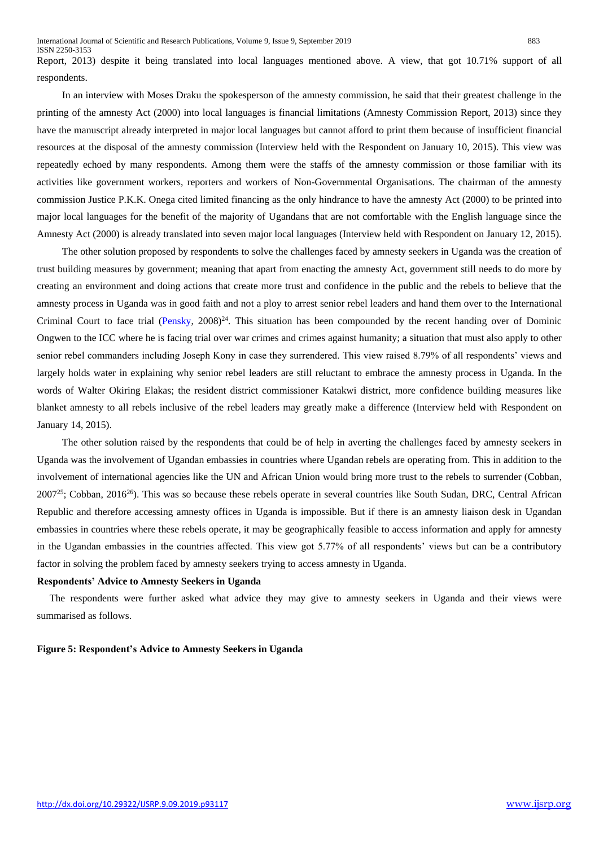Report, 2013) despite it being translated into local languages mentioned above. A view, that got 10.71% support of all respondents.

 In an interview with Moses Draku the spokesperson of the amnesty commission, he said that their greatest challenge in the printing of the amnesty Act (2000) into local languages is financial limitations (Amnesty Commission Report, 2013) since they have the manuscript already interpreted in major local languages but cannot afford to print them because of insufficient financial resources at the disposal of the amnesty commission (Interview held with the Respondent on January 10, 2015). This view was repeatedly echoed by many respondents. Among them were the staffs of the amnesty commission or those familiar with its activities like government workers, reporters and workers of Non-Governmental Organisations. The chairman of the amnesty commission Justice P.K.K. Onega cited limited financing as the only hindrance to have the amnesty Act (2000) to be printed into major local languages for the benefit of the majority of Ugandans that are not comfortable with the English language since the Amnesty Act (2000) is already translated into seven major local languages (Interview held with Respondent on January 12, 2015).

 The other solution proposed by respondents to solve the challenges faced by amnesty seekers in Uganda was the creation of trust building measures by government; meaning that apart from enacting the amnesty Act, government still needs to do more by creating an environment and doing actions that create more trust and confidence in the public and the rebels to believe that the amnesty process in Uganda was in good faith and not a ploy to arrest senior rebel leaders and hand them over to the International Criminal Court to face trial [\(Pensky,](http://www.ethicsandglobalpolitics.net/index.php/egp/article/view/1816/0) 2008)<sup>24</sup>. This situation has been compounded by the recent handing over of Dominic Ongwen to the ICC where he is facing trial over war crimes and crimes against humanity; a situation that must also apply to other senior rebel commanders including Joseph Kony in case they surrendered. This view raised 8.79% of all respondents' views and largely holds water in explaining why senior rebel leaders are still reluctant to embrace the amnesty process in Uganda. In the words of Walter Okiring Elakas; the resident district commissioner Katakwi district, more confidence building measures like blanket amnesty to all rebels inclusive of the rebel leaders may greatly make a difference (Interview held with Respondent on January 14, 2015).

 The other solution raised by the respondents that could be of help in averting the challenges faced by amnesty seekers in Uganda was the involvement of Ugandan embassies in countries where Ugandan rebels are operating from. This in addition to the involvement of international agencies like the UN and African Union would bring more trust to the rebels to surrender (Cobban,  $2007^{25}$ ; Cobban,  $2016^{26}$ ). This was so because these rebels operate in several countries like South Sudan, DRC, Central African Republic and therefore accessing amnesty offices in Uganda is impossible. But if there is an amnesty liaison desk in Ugandan embassies in countries where these rebels operate, it may be geographically feasible to access information and apply for amnesty in the Ugandan embassies in the countries affected. This view got 5.77% of all respondents' views but can be a contributory factor in solving the problem faced by amnesty seekers trying to access amnesty in Uganda.

#### **Respondents' Advice to Amnesty Seekers in Uganda**

 The respondents were further asked what advice they may give to amnesty seekers in Uganda and their views were summarised as follows.

#### **Figure 5: Respondent's Advice to Amnesty Seekers in Uganda**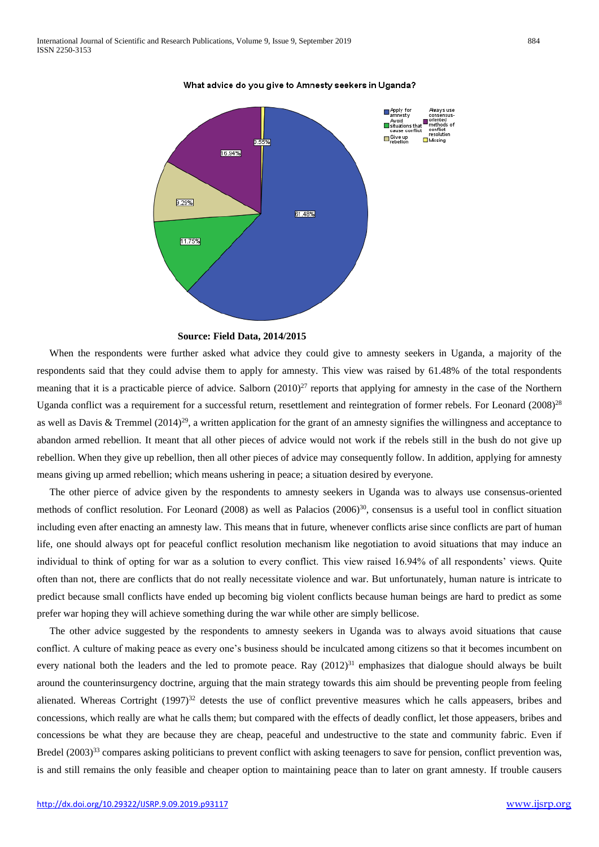

What advice do you give to Amnesty seekers in Uganda?

#### **Source: Field Data, 2014/2015**

 When the respondents were further asked what advice they could give to amnesty seekers in Uganda, a majority of the respondents said that they could advise them to apply for amnesty. This view was raised by 61.48% of the total respondents meaning that it is a practicable pierce of advice. Salborn  $(2010)^{27}$  reports that applying for amnesty in the case of the Northern Uganda conflict was a requirement for a successful return, resettlement and reintegration of former rebels. For Leonard (2008)<sup>28</sup> as well as Davis & Tremmel (2014)<sup>29</sup>, a written application for the grant of an amnesty signifies the willingness and acceptance to abandon armed rebellion. It meant that all other pieces of advice would not work if the rebels still in the bush do not give up rebellion. When they give up rebellion, then all other pieces of advice may consequently follow. In addition, applying for amnesty means giving up armed rebellion; which means ushering in peace; a situation desired by everyone.

 The other pierce of advice given by the respondents to amnesty seekers in Uganda was to always use consensus-oriented methods of conflict resolution. For Leonard (2008) as well as Palacios (2006)<sup>30</sup>, consensus is a useful tool in conflict situation including even after enacting an amnesty law. This means that in future, whenever conflicts arise since conflicts are part of human life, one should always opt for peaceful conflict resolution mechanism like negotiation to avoid situations that may induce an individual to think of opting for war as a solution to every conflict. This view raised 16.94% of all respondents' views. Quite often than not, there are conflicts that do not really necessitate violence and war. But unfortunately, human nature is intricate to predict because small conflicts have ended up becoming big violent conflicts because human beings are hard to predict as some prefer war hoping they will achieve something during the war while other are simply bellicose.

 The other advice suggested by the respondents to amnesty seekers in Uganda was to always avoid situations that cause conflict. A culture of making peace as every one's business should be inculcated among citizens so that it becomes incumbent on every national both the leaders and the led to promote peace. Ray  $(2012)^{31}$  emphasizes that dialogue should always be built around the counterinsurgency doctrine, arguing that the main strategy towards this aim should be preventing people from feeling alienated. Whereas Cortright  $(1997)^{32}$  detests the use of conflict preventive measures which he calls appeasers, bribes and concessions, which really are what he calls them; but compared with the effects of deadly conflict, let those appeasers, bribes and concessions be what they are because they are cheap, peaceful and undestructive to the state and community fabric. Even if Bredel (2003)<sup>33</sup> compares asking politicians to prevent conflict with asking teenagers to save for pension, conflict prevention was, is and still remains the only feasible and cheaper option to maintaining peace than to later on grant amnesty. If trouble causers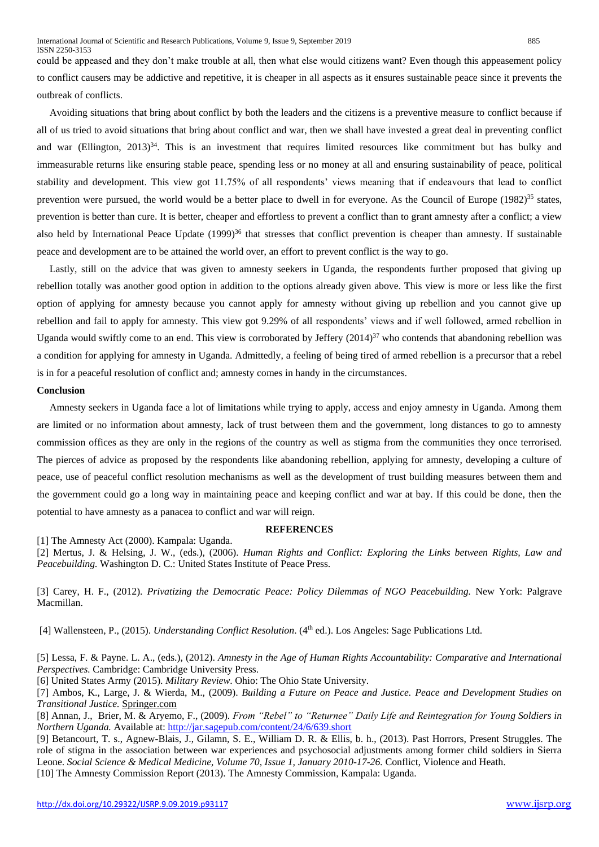could be appeased and they don't make trouble at all, then what else would citizens want? Even though this appeasement policy to conflict causers may be addictive and repetitive, it is cheaper in all aspects as it ensures sustainable peace since it prevents the outbreak of conflicts.

 Avoiding situations that bring about conflict by both the leaders and the citizens is a preventive measure to conflict because if all of us tried to avoid situations that bring about conflict and war, then we shall have invested a great deal in preventing conflict and war (Ellington, 2013)<sup>34</sup>. This is an investment that requires limited resources like commitment but has bulky and immeasurable returns like ensuring stable peace, spending less or no money at all and ensuring sustainability of peace, political stability and development. This view got 11.75% of all respondents' views meaning that if endeavours that lead to conflict prevention were pursued, the world would be a better place to dwell in for everyone. As the Council of Europe (1982)<sup>35</sup> states, prevention is better than cure. It is better, cheaper and effortless to prevent a conflict than to grant amnesty after a conflict; a view also held by International Peace Update  $(1999)^{36}$  that stresses that conflict prevention is cheaper than amnesty. If sustainable peace and development are to be attained the world over, an effort to prevent conflict is the way to go.

 Lastly, still on the advice that was given to amnesty seekers in Uganda, the respondents further proposed that giving up rebellion totally was another good option in addition to the options already given above. This view is more or less like the first option of applying for amnesty because you cannot apply for amnesty without giving up rebellion and you cannot give up rebellion and fail to apply for amnesty. This view got 9.29% of all respondents' views and if well followed, armed rebellion in Uganda would swiftly come to an end. This view is corroborated by Jeffery  $(2014)^{37}$  who contends that abandoning rebellion was a condition for applying for amnesty in Uganda. Admittedly, a feeling of being tired of armed rebellion is a precursor that a rebel is in for a peaceful resolution of conflict and; amnesty comes in handy in the circumstances.

# **Conclusion**

Amnesty seekers in Uganda face a lot of limitations while trying to apply, access and enjoy amnesty in Uganda. Among them are limited or no information about amnesty, lack of trust between them and the government, long distances to go to amnesty commission offices as they are only in the regions of the country as well as stigma from the communities they once terrorised. The pierces of advice as proposed by the respondents like abandoning rebellion, applying for amnesty, developing a culture of peace, use of peaceful conflict resolution mechanisms as well as the development of trust building measures between them and the government could go a long way in maintaining peace and keeping conflict and war at bay. If this could be done, then the potential to have amnesty as a panacea to conflict and war will reign.

# **REFERENCES**

[1] The Amnesty Act (2000). Kampala: Uganda.

[2] Mertus, J. & Helsing, J. W., (eds.), (2006). *Human Rights and Conflict: Exploring the Links between Rights, Law and Peacebuilding.* Washington D. C.: United States Institute of Peace Press.

[3] Carey, H. F., (2012). *Privatizing the Democratic Peace: Policy Dilemmas of NGO Peacebuilding.* New York: Palgrave Macmillan.

[4] Wallensteen, P., (2015). *Understanding Conflict Resolution*. (4th ed.). Los Angeles: Sage Publications Ltd.

[5] Lessa, F. & Payne. L. A., (eds.), (2012). *Amnesty in the Age of Human Rights Accountability: Comparative and International Perspectives.* Cambridge: Cambridge University Press.

[6] United States Army (2015). *Military Review*. Ohio: The Ohio State University.

[7] Ambos, K., Large, J. & Wierda, M., (2009). *Building a Future on Peace and Justice. Peace and Development Studies on Transitional Justice.* Springer.com

[8] [Annan,](http://jar.sagepub.com/search?author1=Jeannie+Annan&sortspec=date&submit=Submit) J.[, Brier,](http://jar.sagepub.com/search?author1=Moriah+Brier&sortspec=date&submit=Submit) M. & [Aryemo,](http://jar.sagepub.com/search?author1=Filder+Aryemo&sortspec=date&submit=Submit) F., (2009). *From "Rebel" to "Returnee" Daily Life and Reintegration for Young Soldiers in Northern Uganda.* Available at:<http://jar.sagepub.com/content/24/6/639.short>

[9] Betancourt, T. s., Agnew-Blais, J., Gilamn, S. E., William D. R. & Ellis, b. h., (2013). Past Horrors, Present Struggles. The role of stigma in the association between war experiences and psychosocial adjustments among former child soldiers in Sierra Leone. *Social Science & Medical Medicine, Volume 70, Issue 1, January 2010-17-26.* Conflict, Violence and Heath. [10] The Amnesty Commission Report (2013). The Amnesty Commission, Kampala: Uganda.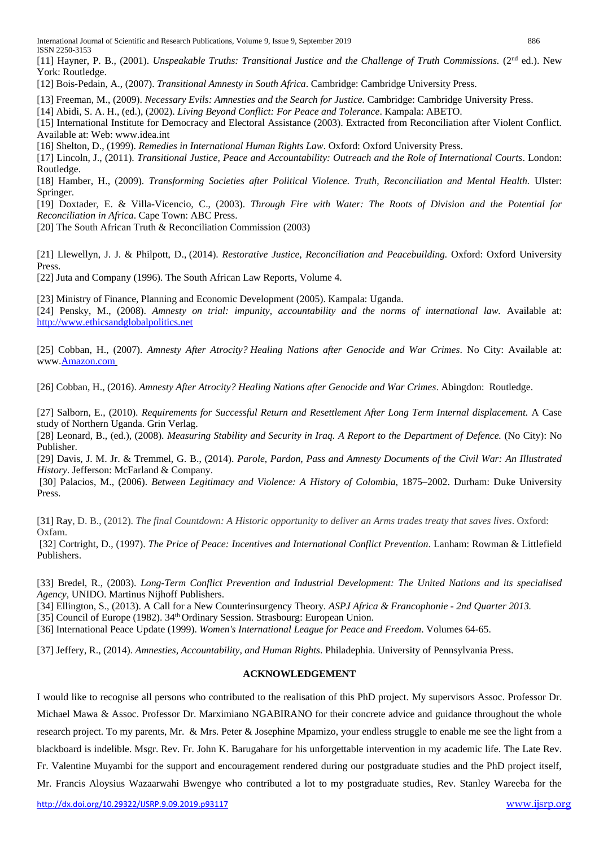International Journal of Scientific and Research Publications, Volume 9, Issue 9, September 2019 886 ISSN 2250-3153

[11] [Hayner,](https://www.google.rw/search?hl=en&biw=1357&bih=620&tbm=bks&tbm=bks&q=inauthor:%22Priscilla+B.+Hayner%22&sa=X&ved=0CCkQ9AgwAmoVChMIkv-IuNCgxwIVx24UCh23nAvg) P. B., (2001). *Unspeakable Truths: Transitional Justice and the Challenge of Truth Commissions.* (2<sup>nd</sup> ed.). New York: Routledge.

[12] Bois-Pedain, A., (2007). *Transitional Amnesty in South Africa*. Cambridge: Cambridge University Press.

[13] Freeman, M., (2009). *Necessary Evils: Amnesties and the Search for Justice.* Cambridge: Cambridge University Press.

[14] Abidi, S. A. H., (ed.), (2002). *Living Beyond Conflict: For Peace and Tolerance*. Kampala: ABETO.

[15] International Institute for Democracy and Electoral Assistance (2003). Extracted from Reconciliation after Violent Conflict. Available at: Web: www.idea.int

[16] Shelton, D., (1999). *Remedies in International Human Rights Law*. Oxford: Oxford University Press.

[17] Lincoln, J., (2011). *Transitional Justice, Peace and Accountability: Outreach and the Role of International Courts*. London: Routledge.

[18] [Hamber,](https://www.google.com/search?tbm=bks&tbm=bks&q=inauthor:%22Brandon+Hamber%22&sa=X&ved=0ahUKEwjGwOGW9LjKAhVIDCwKHTNaCeUQ9AgINjAE) H., (2009). *Transforming Societies after Political Violence. Truth, Reconciliation and Mental Health.* Ulster: Springer.

[19] Doxtader, E. & Villa-Vicencio, C., (2003). *Through Fire with Water: The Roots of Division and the Potential for Reconciliation in Africa*. Cape Town: ABC Press.

[20] The South African Truth & Reconciliation Commission (2003)

[21] [Llewellyn,](https://www.google.com/search?biw=790&bih=454&tbm=bks&tbm=bks&q=inauthor:%22Jennifer+J.+Llewellyn%22&sa=X&ei=JNkrVaiFI4vmapr-gJgM&ved=0CB8Q9AgwAA) J. J. & [Philpott,](https://www.google.com/search?biw=790&bih=454&tbm=bks&tbm=bks&q=inauthor:%22Daniel+Philpott%22&sa=X&ei=JNkrVaiFI4vmapr-gJgM&ved=0CCAQ9AgwAA) D., (2014). *Restorative Justice, Reconciliation and Peacebuilding.* Oxford: Oxford University **Press** 

[22] Juta and Company (1996). The South African Law Reports, Volume 4.

[23] Ministry of Finance, Planning and Economic Development (2005). Kampala: Uganda.

[24] [Pensky,](http://www.ethicsandglobalpolitics.net/index.php/egp/article/view/1816/0) M., (2008). *Amnesty on trial: impunity, accountability and the norms of international law.* Available at: [http://www.ethicsandglobalpolitics.net](http://www.ethicsandglobalpolitics.net/)

[25] Cobban, H., (2007). *Amnesty After Atrocity? Healing Nations after Genocide and War Crimes*. No City: Available at: www[.Amazon.com](https://books.google.rw/url?client=ca-google-gpso&format=googleprint&num=0&id=8KCPAAAAMAAJ&q=http://www.amazon.com/gp/search%3Findex%3Dbooks%26linkCode%3Dqs%26keywords%3D9781594513169&usg=AFQjCNFjnZ84OuQLXo1Zk87ohUZYjxXdIw&source=gbs_buy_r)

[26] Cobban, H., (2016). *Amnesty After Atrocity? Healing Nations after Genocide and War Crimes*. Abingdon: Routledge.

[27] Salborn, E., (2010). *Requirements for Successful Return and Resettlement After Long Term Internal displacement.* A Case study of Northern Uganda. Grin Verlag.

[28] Leonard, B., (ed.), (2008). *Measuring Stability and Security in Iraq. A Report to the Department of Defence.* (No City): No Publisher.

[29] Davis, J. M. Jr. & Tremmel, G. B., (2014). *Parole, Pardon, Pass and Amnesty Documents of the Civil War: An Illustrated History*. Jefferson: McFarland & Company.

[30] Palacios, M., (2006). *Between Legitimacy and Violence: A History of Colombia,* 1875–2002. Durham: Duke University Press.

[31] Ray, D. B., (2012). *The final Countdown: A Historic opportunity to deliver an Arms trades treaty that saves lives*. Oxford: Oxfam.

[32] Cortright, D., (1997). *The Price of Peace: Incentives and International Conflict Prevention*. Lanham: [Rowman & Littlefield](https://books.google.rw/url?client=ca-print-rowman_littlefield&format=googleprint&num=0&id=4p0X63srfo4C&q=http://www.rowmanlittlefield.com/isbn/084768556X&usg=AFQjCNFr7J1q7F0CcfJbuFTI67qr7Gisdg&source=gbs_buy_r) Publishers.

[33] Bredel, R., (2003). *Long-Term Conflict Prevention and Industrial Development: The United Nations and its specialised Agency,* UNIDO. [Martinus Nijhoff Publishers.](https://books.google.rw/url?client=ca-print-brill_nijhoff&format=googleprint&num=0&id=zbR_cqT4Wo8C&q=http://www.brill.nl/product_id18091.htm&usg=AFQjCNHJvBfrG0uhC5srsBokQIYEd5bsyw&source=gbs_buy_r)

[34] Ellington, S., (2013). A Call for a New Counterinsurgency Theory*. ASPJ Africa & Francophonie - 2nd Quarter 2013.*

[35] Council of Europe (1982). 34<sup>th</sup> Ordinary Session. Strasbourg: European Union.

[36] International Peace Update (1999). *Women's International League for Peace and Freedom*. Volumes 64-65.

[37] Jeffery, R., (2014). *Amnesties, Accountability, and Human Rights*. Philadephia. University of Pennsylvania Press.

# **ACKNOWLEDGEMENT**

I would like to recognise all persons who contributed to the realisation of this PhD project. My supervisors Assoc. Professor Dr. Michael Mawa & Assoc. Professor Dr. Marximiano NGABIRANO for their concrete advice and guidance throughout the whole research project. To my parents, Mr. & Mrs. Peter & Josephine Mpamizo, your endless struggle to enable me see the light from a blackboard is indelible. Msgr. Rev. Fr. John K. Barugahare for his unforgettable intervention in my academic life. The Late Rev. Fr. Valentine Muyambi for the support and encouragement rendered during our postgraduate studies and the PhD project itself,

Mr. Francis Aloysius Wazaarwahi Bwengye who contributed a lot to my postgraduate studies, Rev. Stanley Wareeba for the